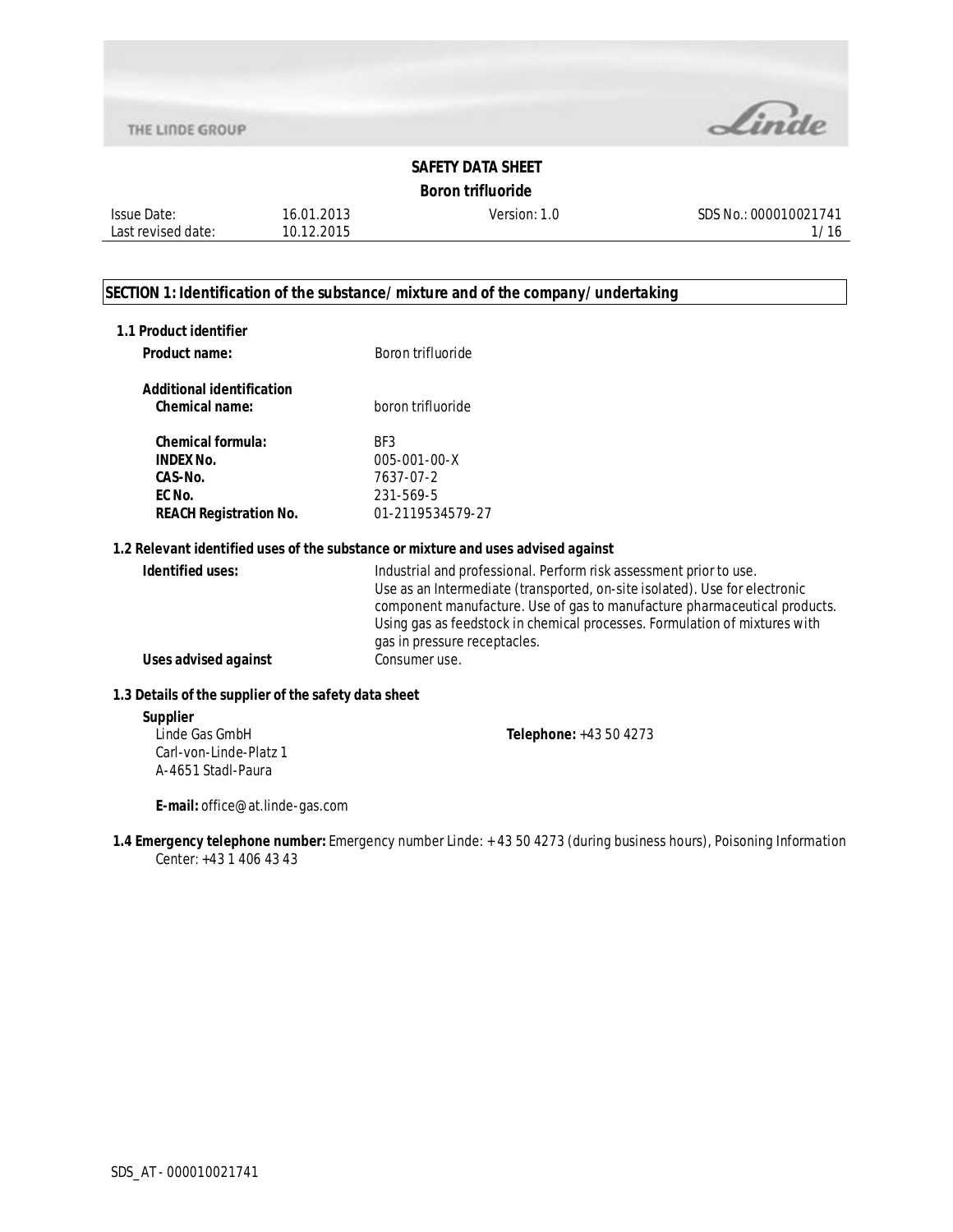

## **Boron trifluoride**

Issue Date: Last revised date: 16.01.2013 10.12.2015

Version: 1.0 SDS No.: 000010021741 1/16

## **SECTION 1: Identification of the substance/mixture and of the company/undertaking**

| 1.1 Product identifier<br>Product name:                                                            | Boron trifluoride                                                                                                                                                                                                                                                                                                                           |
|----------------------------------------------------------------------------------------------------|---------------------------------------------------------------------------------------------------------------------------------------------------------------------------------------------------------------------------------------------------------------------------------------------------------------------------------------------|
| <b>Additional identification</b><br>Chemical name:                                                 | boron trifluoride                                                                                                                                                                                                                                                                                                                           |
| <b>Chemical formula:</b><br><b>INDEX No.</b><br>CAS-No.<br>EC No.<br><b>REACH Registration No.</b> | BF3<br>$005 - 001 - 00 - X$<br>7637-07-2<br>231-569-5<br>01-2119534579-27                                                                                                                                                                                                                                                                   |
|                                                                                                    | 1.2 Relevant identified uses of the substance or mixture and uses advised against                                                                                                                                                                                                                                                           |
| Identified uses:                                                                                   | Industrial and professional. Perform risk assessment prior to use.<br>Use as an Intermediate (transported, on-site isolated). Use for electronic<br>component manufacture. Use of gas to manufacture pharmaceutical products.<br>Using gas as feedstock in chemical processes. Formulation of mixtures with<br>gas in pressure receptacles. |
| Uses advised against                                                                               | Consumer use.                                                                                                                                                                                                                                                                                                                               |
| 1.3 Details of the supplier of the safety data sheet                                               |                                                                                                                                                                                                                                                                                                                                             |

#### **Supplier**

**Telephone:** +43 50 4273

Linde Gas GmbH Carl-von-Linde-Platz 1 A-4651 Stadl-Paura

**E-mail:** office@at.linde-gas.com

**1.4 Emergency telephone number:** Emergency number Linde: + 43 50 4273 (during business hours), Poisoning Information Center: +43 1 406 43 43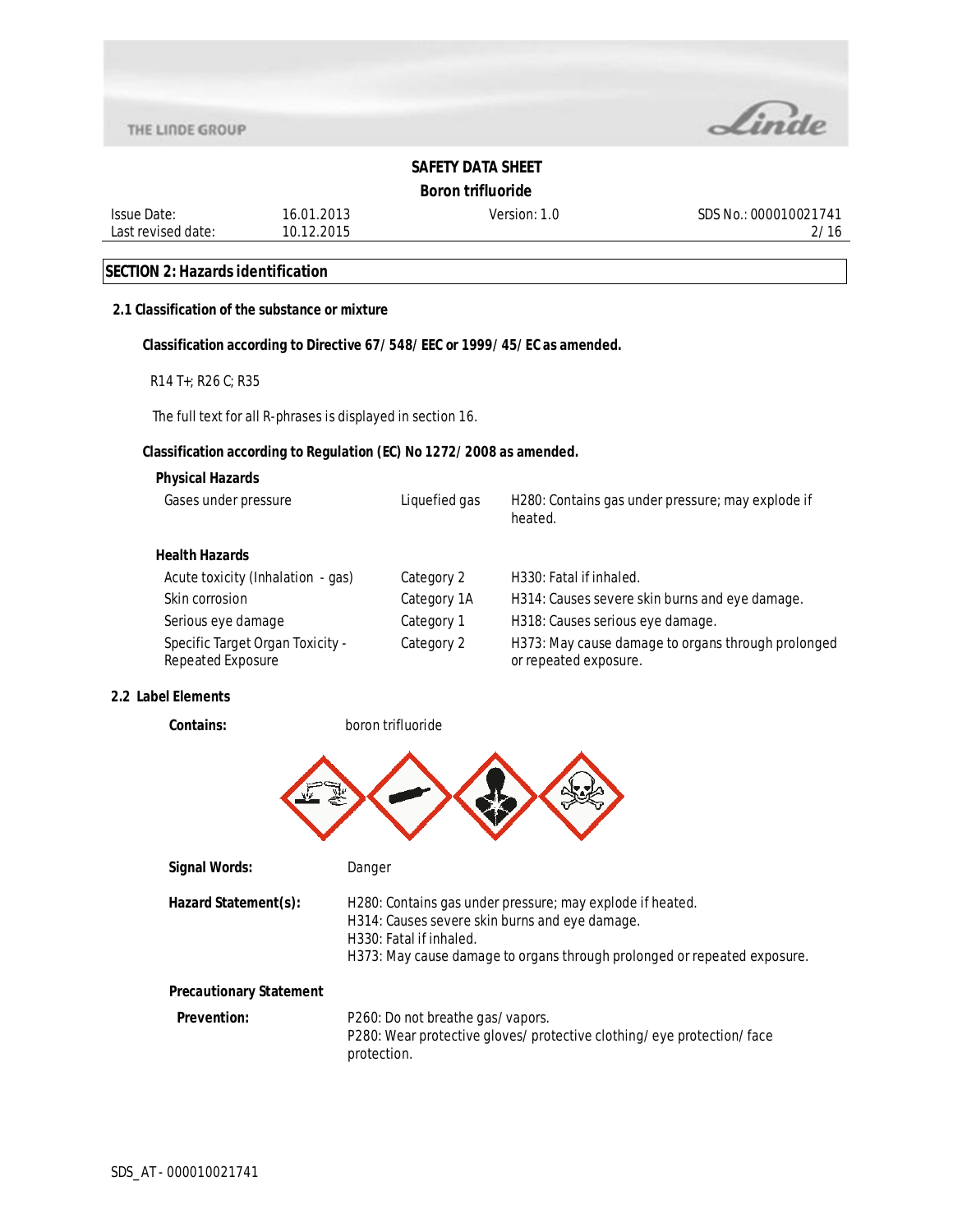

**Boron trifluoride**

Issue Date: Last revised date: 16.01.2013 10.12.2015

Version: 1.0 SDS No.: 000010021741 2/16

## **SECTION 2: Hazards identification**

## **2.1 Classification of the substance or mixture**

### **Classification according to Directive 67/548/EEC or 1999/45/EC as amended.**

R14 T+; R26 C; R35

The full text for all R-phrases is displayed in section 16.

### **Classification according to Regulation (EC) No 1272/2008 as amended.**

### **Physical Hazards**

| Gases under pressure                                  | Liquefied gas | H280: Contains gas under pressure; may explode if<br>heated.                |
|-------------------------------------------------------|---------------|-----------------------------------------------------------------------------|
| Health Hazards                                        |               |                                                                             |
| Acute toxicity (Inhalation - gas)                     | Category 2    | H330: Fatal if inhaled.                                                     |
| Skin corrosion                                        | Category 1A   | H314: Causes severe skin burns and eye damage.                              |
| Serious eye damage                                    | Category 1    | H318: Causes serious eye damage.                                            |
| Specific Target Organ Toxicity -<br>Repeated Exposure | Category 2    | H373: May cause damage to organs through prolonged<br>or repeated exposure. |

### **2.2 Label Elements**

**Contains:** boron trifluoride



| Signal Words:                  | Danger                                                                                                                                                                                                             |
|--------------------------------|--------------------------------------------------------------------------------------------------------------------------------------------------------------------------------------------------------------------|
| Hazard Statement(s):           | H280: Contains gas under pressure; may explode if heated.<br>H314: Causes severe skin burns and eye damage.<br>H330: Fatal if inhaled.<br>H373: May cause damage to organs through prolonged or repeated exposure. |
| <b>Precautionary Statement</b> |                                                                                                                                                                                                                    |
| <b>Prevention:</b>             | P260: Do not breathe gas/vapors.<br>P280: Wear protective gloves/protective clothing/eye protection/face<br>protection.                                                                                            |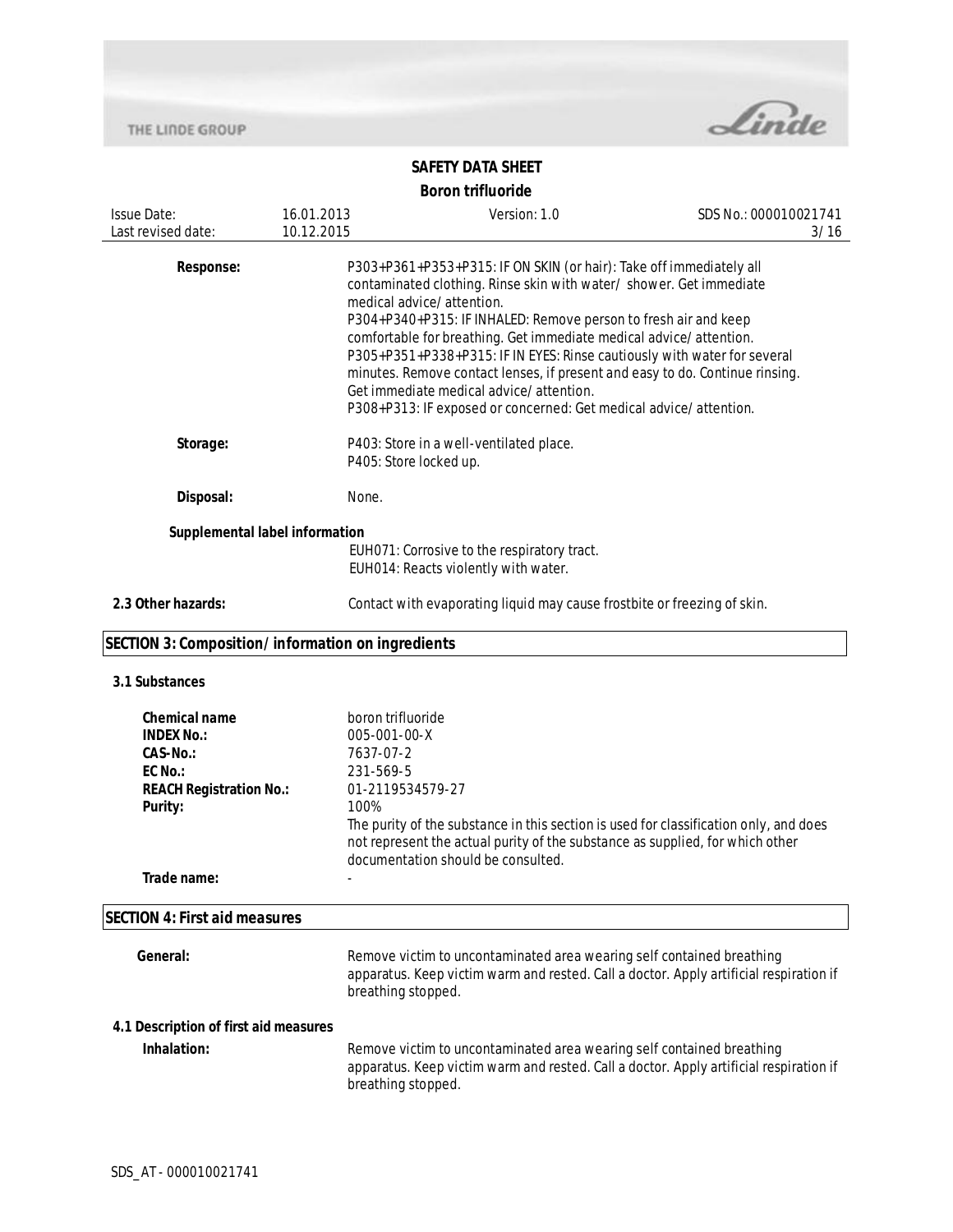

| <b>Issue Date:</b><br>Last revised date:                                                                                            | 16.01.2013<br>10.12.2015                       | Version: 1.0                                                                                                                                                                                                                                                                                                                                                                                                                                                                                                                                                                                  | SDS No.: 000010021741<br>3/16 |
|-------------------------------------------------------------------------------------------------------------------------------------|------------------------------------------------|-----------------------------------------------------------------------------------------------------------------------------------------------------------------------------------------------------------------------------------------------------------------------------------------------------------------------------------------------------------------------------------------------------------------------------------------------------------------------------------------------------------------------------------------------------------------------------------------------|-------------------------------|
| <b>Response:</b>                                                                                                                    |                                                | P303+P361+P353+P315: IF ON SKIN (or hair): Take off immediately all<br>contaminated clothing. Rinse skin with water / shower. Get immediate<br>medical advice/attention.<br>P304+P340+P315: IF INHALED: Remove person to fresh air and keep<br>comfortable for breathing. Get immediate medical advice/attention.<br>P305+P351+P338+P315: IF IN EYES: Rinse cautiously with water for several<br>minutes. Remove contact lenses, if present and easy to do. Continue rinsing.<br>Get immediate medical advice/attention.<br>P308+P313: IF exposed or concerned: Get medical advice/attention. |                               |
| Storage:                                                                                                                            |                                                | P403: Store in a well-ventilated place.<br>P405: Store locked up.                                                                                                                                                                                                                                                                                                                                                                                                                                                                                                                             |                               |
| Disposal:                                                                                                                           | None.                                          |                                                                                                                                                                                                                                                                                                                                                                                                                                                                                                                                                                                               |                               |
| Supplemental label information<br>2.3 Other hazards:                                                                                |                                                | EUH071: Corrosive to the respiratory tract.<br>EUH014: Reacts violently with water.<br>Contact with evaporating liquid may cause frostbite or freezing of skin.                                                                                                                                                                                                                                                                                                                                                                                                                               |                               |
| SECTION 3: Composition/information on ingredients                                                                                   |                                                |                                                                                                                                                                                                                                                                                                                                                                                                                                                                                                                                                                                               |                               |
| 3.1 Substances                                                                                                                      |                                                |                                                                                                                                                                                                                                                                                                                                                                                                                                                                                                                                                                                               |                               |
| <b>Chemical name</b><br><b>INDEX No.:</b><br><b>CAS-No.:</b><br>EC No.:<br><b>REACH Registration No.:</b><br>Purity:<br>Trade name: | 005-001-00-X<br>7637-07-2<br>231-569-5<br>100% | boron trifluoride<br>01-2119534579-27<br>The purity of the substance in this section is used for classification only, and does<br>not represent the actual purity of the substance as supplied, for which other<br>documentation should be consulted.                                                                                                                                                                                                                                                                                                                                         |                               |
| <b>SECTION 4: First aid measures</b>                                                                                                |                                                |                                                                                                                                                                                                                                                                                                                                                                                                                                                                                                                                                                                               |                               |
| General:                                                                                                                            |                                                | Remove victim to uncontaminated area wearing self contained breathing<br>apparatus. Keep victim warm and rested. Call a doctor. Apply artificial respiration if<br>breathing stopped.                                                                                                                                                                                                                                                                                                                                                                                                         |                               |
| 4.1 Description of first aid measures<br>Inhalation:                                                                                |                                                | Remove victim to uncontaminated area wearing self contained breathing<br>apparatus. Keep victim warm and rested. Call a doctor. Apply artificial respiration if<br>breathing stopped.                                                                                                                                                                                                                                                                                                                                                                                                         |                               |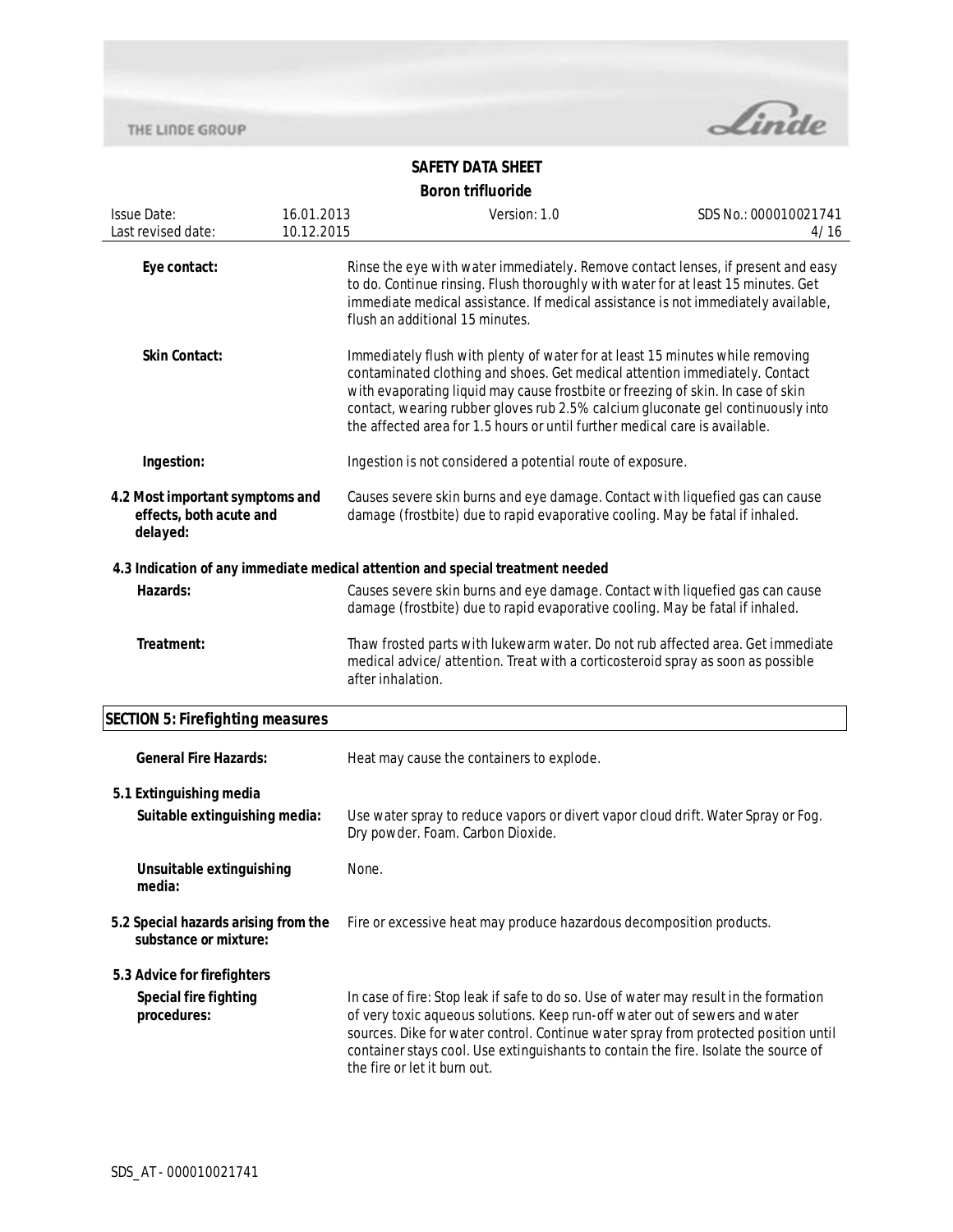

| <b>Issue Date:</b>                                                     | 16.01.2013 | Version: 1.0                                                                                                                                                                                                                                                                                                                                                                                                       | SDS No.: 000010021741 |
|------------------------------------------------------------------------|------------|--------------------------------------------------------------------------------------------------------------------------------------------------------------------------------------------------------------------------------------------------------------------------------------------------------------------------------------------------------------------------------------------------------------------|-----------------------|
| Last revised date:                                                     | 10.12.2015 |                                                                                                                                                                                                                                                                                                                                                                                                                    | 4/16                  |
| Eye contact:                                                           |            | Rinse the eye with water immediately. Remove contact lenses, if present and easy<br>to do. Continue rinsing. Flush thoroughly with water for at least 15 minutes. Get<br>immediate medical assistance. If medical assistance is not immediately available,<br>flush an additional 15 minutes.                                                                                                                      |                       |
| <b>Skin Contact:</b>                                                   |            | Immediately flush with plenty of water for at least 15 minutes while removing<br>contaminated clothing and shoes. Get medical attention immediately. Contact<br>with evaporating liquid may cause frostbite or freezing of skin. In case of skin<br>contact, wearing rubber gloves rub 2.5% calcium gluconate gel continuously into<br>the affected area for 1.5 hours or until further medical care is available. |                       |
| Ingestion:                                                             |            | Ingestion is not considered a potential route of exposure.                                                                                                                                                                                                                                                                                                                                                         |                       |
| 4.2 Most important symptoms and<br>effects, both acute and<br>delayed: |            | Causes severe skin burns and eye damage. Contact with liquefied gas can cause<br>damage (frostbite) due to rapid evaporative cooling. May be fatal if inhaled.                                                                                                                                                                                                                                                     |                       |
|                                                                        |            | 4.3 Indication of any immediate medical attention and special treatment needed                                                                                                                                                                                                                                                                                                                                     |                       |
| Hazards:                                                               |            | Causes severe skin burns and eye damage. Contact with liquefied gas can cause<br>damage (frostbite) due to rapid evaporative cooling. May be fatal if inhaled.                                                                                                                                                                                                                                                     |                       |
| Treatment:                                                             |            | Thaw frosted parts with lukewarm water. Do not rub affected area. Get immediate<br>medical advice/attention. Treat with a corticosteroid spray as soon as possible<br>after inhalation.                                                                                                                                                                                                                            |                       |
| <b>SECTION 5: Firefighting measures</b>                                |            |                                                                                                                                                                                                                                                                                                                                                                                                                    |                       |
| <b>General Fire Hazards:</b>                                           |            | Heat may cause the containers to explode.                                                                                                                                                                                                                                                                                                                                                                          |                       |
| 5.1 Extinguishing media                                                |            |                                                                                                                                                                                                                                                                                                                                                                                                                    |                       |
| Suitable extinguishing media:                                          |            | Use water spray to reduce vapors or divert vapor cloud drift. Water Spray or Fog.<br>Dry powder. Foam. Carbon Dioxide.                                                                                                                                                                                                                                                                                             |                       |
| Unsuitable extinguishing<br>media:                                     | None.      |                                                                                                                                                                                                                                                                                                                                                                                                                    |                       |
| 5.2 Special hazards arising from the<br>substance or mixture:          |            | Fire or excessive heat may produce hazardous decomposition products.                                                                                                                                                                                                                                                                                                                                               |                       |
| 5.3 Advice for firefighters                                            |            |                                                                                                                                                                                                                                                                                                                                                                                                                    |                       |
| <b>Special fire fighting</b><br>procedures:                            |            | In case of fire: Stop leak if safe to do so. Use of water may result in the formation<br>of very toxic aqueous solutions. Keep run-off water out of sewers and water<br>sources. Dike for water control. Continue water spray from protected position until<br>container stays cool. Use extinguishants to contain the fire. Isolate the source of<br>the fire or let it burn out.                                 |                       |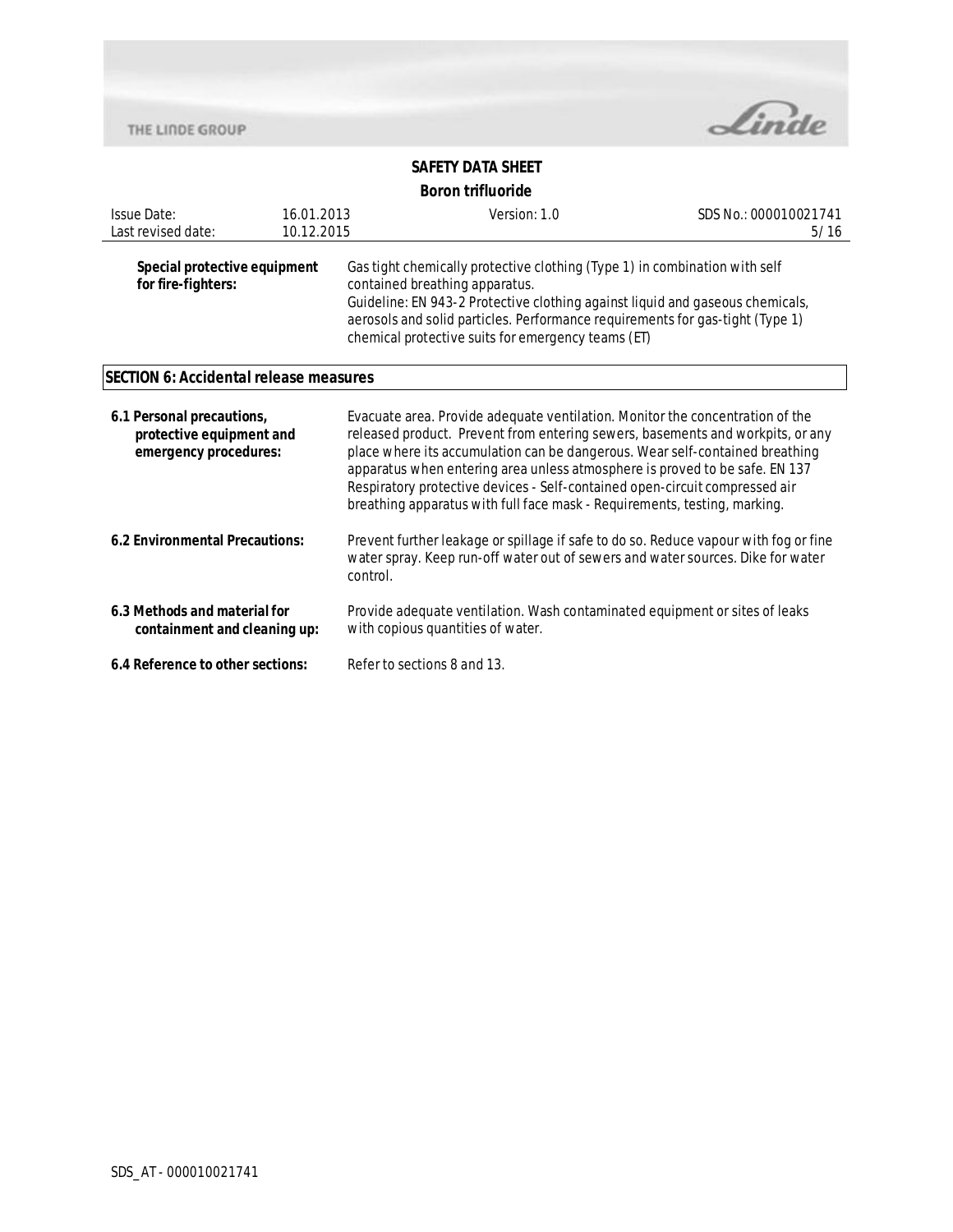

| <b>Issue Date:</b><br>Last revised date:                                       | 16.01.2013<br>10.12.2015 | Version: 1.0                                                                                                                                                                                                                                                                                                                                                                                                                                                                               | SDS No.: 000010021741<br>5/16 |  |
|--------------------------------------------------------------------------------|--------------------------|--------------------------------------------------------------------------------------------------------------------------------------------------------------------------------------------------------------------------------------------------------------------------------------------------------------------------------------------------------------------------------------------------------------------------------------------------------------------------------------------|-------------------------------|--|
| Special protective equipment<br>for fire-fighters:                             |                          | Gas tight chemically protective clothing (Type 1) in combination with self<br>contained breathing apparatus.<br>Guideline: EN 943-2 Protective clothing against liquid and gaseous chemicals,<br>aerosols and solid particles. Performance requirements for gas-tight (Type 1)<br>chemical protective suits for emergency teams (ET)                                                                                                                                                       |                               |  |
| SECTION 6: Accidental release measures                                         |                          |                                                                                                                                                                                                                                                                                                                                                                                                                                                                                            |                               |  |
| 6.1 Personal precautions,<br>protective equipment and<br>emergency procedures: |                          | Evacuate area. Provide adequate ventilation. Monitor the concentration of the<br>released product. Prevent from entering sewers, basements and workpits, or any<br>place where its accumulation can be dangerous. Wear self-contained breathing<br>apparatus when entering area unless atmosphere is proved to be safe. EN 137<br>Respiratory protective devices - Self-contained open-circuit compressed air<br>breathing apparatus with full face mask - Requirements, testing, marking. |                               |  |
| 6.2 Environmental Precautions:                                                 |                          | Prevent further leakage or spillage if safe to do so. Reduce vapour with fog or fine<br>water spray. Keep run-off water out of sewers and water sources. Dike for water<br>control.                                                                                                                                                                                                                                                                                                        |                               |  |
| 6.3 Methods and material for<br>containment and cleaning up:                   |                          | Provide adequate ventilation. Wash contaminated equipment or sites of leaks<br>with copious quantities of water.                                                                                                                                                                                                                                                                                                                                                                           |                               |  |
| 6.4 Reference to other sections:                                               |                          | Refer to sections 8 and 13.                                                                                                                                                                                                                                                                                                                                                                                                                                                                |                               |  |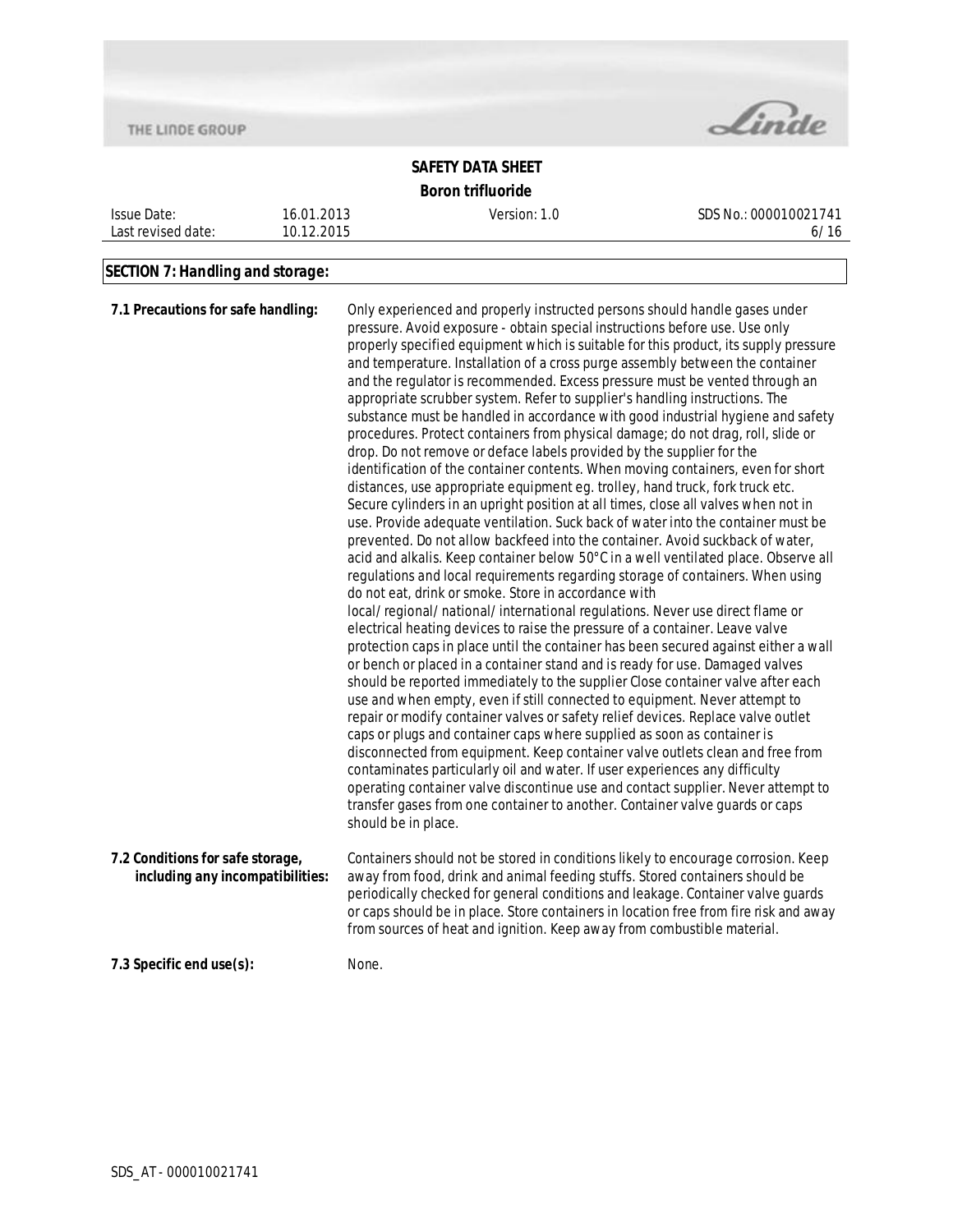

# **SAFETY DATA SHEET Boron trifluoride**

Issue Date: Last revised date: 16.01.2013 10.12.2015 Version: 1.0 SDS No.: 000010021741 6/16

# **SECTION 7: Handling and storage:**

| 7.1 Precautions for safe handling:                                   | Only experienced and properly instructed persons should handle gases under<br>pressure. Avoid exposure - obtain special instructions before use. Use only<br>properly specified equipment which is suitable for this product, its supply pressure<br>and temperature. Installation of a cross purge assembly between the container<br>and the regulator is recommended. Excess pressure must be vented through an<br>appropriate scrubber system. Refer to supplier's handling instructions. The<br>substance must be handled in accordance with good industrial hygiene and safety<br>procedures. Protect containers from physical damage; do not drag, roll, slide or<br>drop. Do not remove or deface labels provided by the supplier for the<br>identification of the container contents. When moving containers, even for short<br>distances, use appropriate equipment eg. trolley, hand truck, fork truck etc.<br>Secure cylinders in an upright position at all times, close all valves when not in<br>use. Provide adequate ventilation. Suck back of water into the container must be<br>prevented. Do not allow backfeed into the container. Avoid suckback of water,<br>acid and alkalis. Keep container below 50°C in a well ventilated place. Observe all<br>regulations and local requirements regarding storage of containers. When using<br>do not eat, drink or smoke. Store in accordance with<br>local/regional/national/international regulations. Never use direct flame or<br>electrical heating devices to raise the pressure of a container. Leave valve<br>protection caps in place until the container has been secured against either a wall<br>or bench or placed in a container stand and is ready for use. Damaged valves<br>should be reported immediately to the supplier Close container valve after each<br>use and when empty, even if still connected to equipment. Never attempt to<br>repair or modify container valves or safety relief devices. Replace valve outlet<br>caps or plugs and container caps where supplied as soon as container is<br>disconnected from equipment. Keep container valve outlets clean and free from<br>contaminates particularly oil and water. If user experiences any difficulty<br>operating container valve discontinue use and contact supplier. Never attempt to<br>transfer gases from one container to another. Container valve guards or caps<br>should be in place. |
|----------------------------------------------------------------------|-----------------------------------------------------------------------------------------------------------------------------------------------------------------------------------------------------------------------------------------------------------------------------------------------------------------------------------------------------------------------------------------------------------------------------------------------------------------------------------------------------------------------------------------------------------------------------------------------------------------------------------------------------------------------------------------------------------------------------------------------------------------------------------------------------------------------------------------------------------------------------------------------------------------------------------------------------------------------------------------------------------------------------------------------------------------------------------------------------------------------------------------------------------------------------------------------------------------------------------------------------------------------------------------------------------------------------------------------------------------------------------------------------------------------------------------------------------------------------------------------------------------------------------------------------------------------------------------------------------------------------------------------------------------------------------------------------------------------------------------------------------------------------------------------------------------------------------------------------------------------------------------------------------------------------------------------------------------------------------------------------------------------------------------------------------------------------------------------------------------------------------------------------------------------------------------------------------------------------------------------------------------------------------------------------------------------------------------------------------------------------------------------------------------------------------------------------|
| 7.2 Conditions for safe storage,<br>including any incompatibilities: | Containers should not be stored in conditions likely to encourage corrosion. Keep<br>away from food, drink and animal feeding stuffs. Stored containers should be<br>periodically checked for general conditions and leakage. Container valve guards<br>or caps should be in place. Store containers in location free from fire risk and away<br>from sources of heat and ignition. Keep away from combustible material.                                                                                                                                                                                                                                                                                                                                                                                                                                                                                                                                                                                                                                                                                                                                                                                                                                                                                                                                                                                                                                                                                                                                                                                                                                                                                                                                                                                                                                                                                                                                                                                                                                                                                                                                                                                                                                                                                                                                                                                                                            |
| 7.3 Specific end use(s):                                             | None.                                                                                                                                                                                                                                                                                                                                                                                                                                                                                                                                                                                                                                                                                                                                                                                                                                                                                                                                                                                                                                                                                                                                                                                                                                                                                                                                                                                                                                                                                                                                                                                                                                                                                                                                                                                                                                                                                                                                                                                                                                                                                                                                                                                                                                                                                                                                                                                                                                               |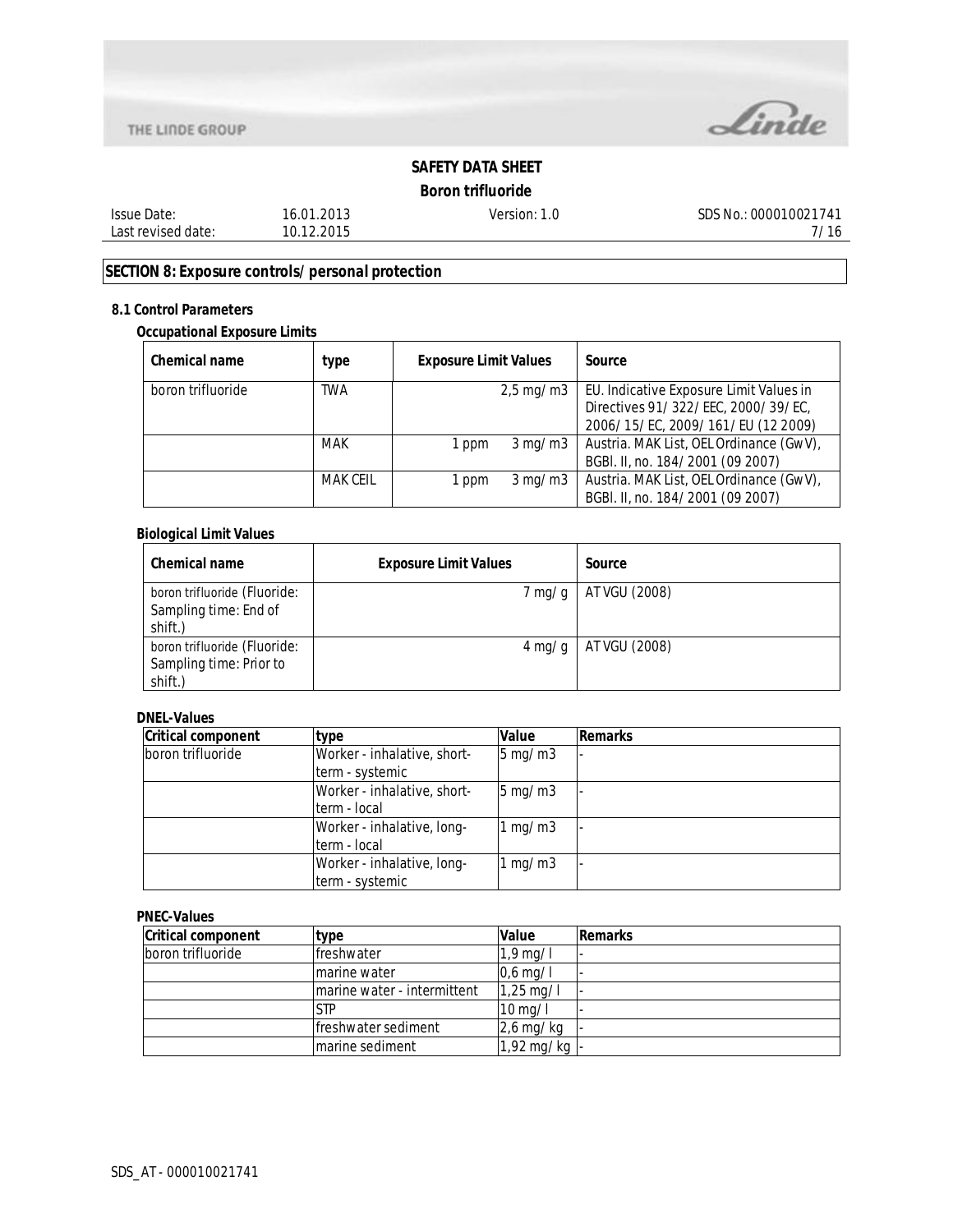



# **Boron trifluoride**

| Issue Date:        | 16.01.2013 |
|--------------------|------------|
| Last revised date: | 10.12.2015 |

Version: 1.0 SDS No.: 000010021741 7/16

# **SECTION 8: Exposure controls/personal protection**

## **8.1 Control Parameters**

### **Occupational Exposure Limits**

| Chemical name     | type            | <b>Exposure Limit Values</b> |                                | Source                                  |
|-------------------|-----------------|------------------------------|--------------------------------|-----------------------------------------|
| boron trifluoride | <b>TWA</b>      |                              | $2,5 \,\mathrm{mg}/\mathrm{m}$ | EU. Indicative Exposure Limit Values in |
|                   |                 |                              |                                | Directives 91/322/EEC, 2000/39/EC,      |
|                   |                 |                              |                                | 2006/15/EC, 2009/161/EU (12 2009)       |
|                   | <b>MAK</b>      | 1 ppm                        | $3 \,\mathrm{mq/m}$            | Austria. MAK List, OEL Ordinance (GwV), |
|                   |                 |                              |                                | BGBI. II, no. 184/2001 (09 2007)        |
|                   | <b>MAK CEIL</b> | 1 ppm                        | 3 mg/m3                        | Austria. MAK List, OEL Ordinance (GwV), |
|                   |                 |                              |                                | BGBI. II, no. 184/2001 (09 2007)        |

### **Biological Limit Values**

| Chemical name                                                      | <b>Exposure Limit Values</b> | Source        |
|--------------------------------------------------------------------|------------------------------|---------------|
| boron trifluoride (Fluoride:<br>Sampling time: End of<br>shift.)   | $7 \,\mathrm{mg/g}$          | AT VGU (2008) |
| boron trifluoride (Fluoride:<br>Sampling time: Prior to<br>shift.) | $4 \,\mathrm{mg/g}$          | AT VGU (2008) |

### **DNEL-Values**

| <b>Critical component</b> | type                        | Value                | Remarks |
|---------------------------|-----------------------------|----------------------|---------|
| boron trifluoride         | Worker - inhalative, short- | $5 \,\mathrm{mg/m3}$ |         |
|                           | term - systemic             |                      |         |
|                           | Worker - inhalative, short- | $5 \,\mathrm{mq/m3}$ |         |
|                           | term - local                |                      |         |
|                           | Worker - inhalative, long-  | 1 mg/m3              |         |
|                           | term - local                |                      |         |
|                           | Worker - inhalative, long-  | 1 mg/m $3$           |         |
|                           | term - systemic             |                      |         |

### **PNEC-Values**

| <b>Critical component</b> | type                        | Value                  | <b>Remarks</b> |
|---------------------------|-----------------------------|------------------------|----------------|
| boron trifluoride         | lfreshwater                 | $1,9$ mg/l             |                |
|                           | marine water                | $0,6$ mg/l             |                |
|                           | marine water - intermittent | $1,25 \,\mathrm{mg}/l$ |                |
|                           | STP                         | $10 \,\mathrm{mag/l}$  |                |
|                           | lfreshwater sediment        | $2,6$ mg/kg            |                |
|                           | marine sediment             | 1,92 mg/kg $\vert$ -   |                |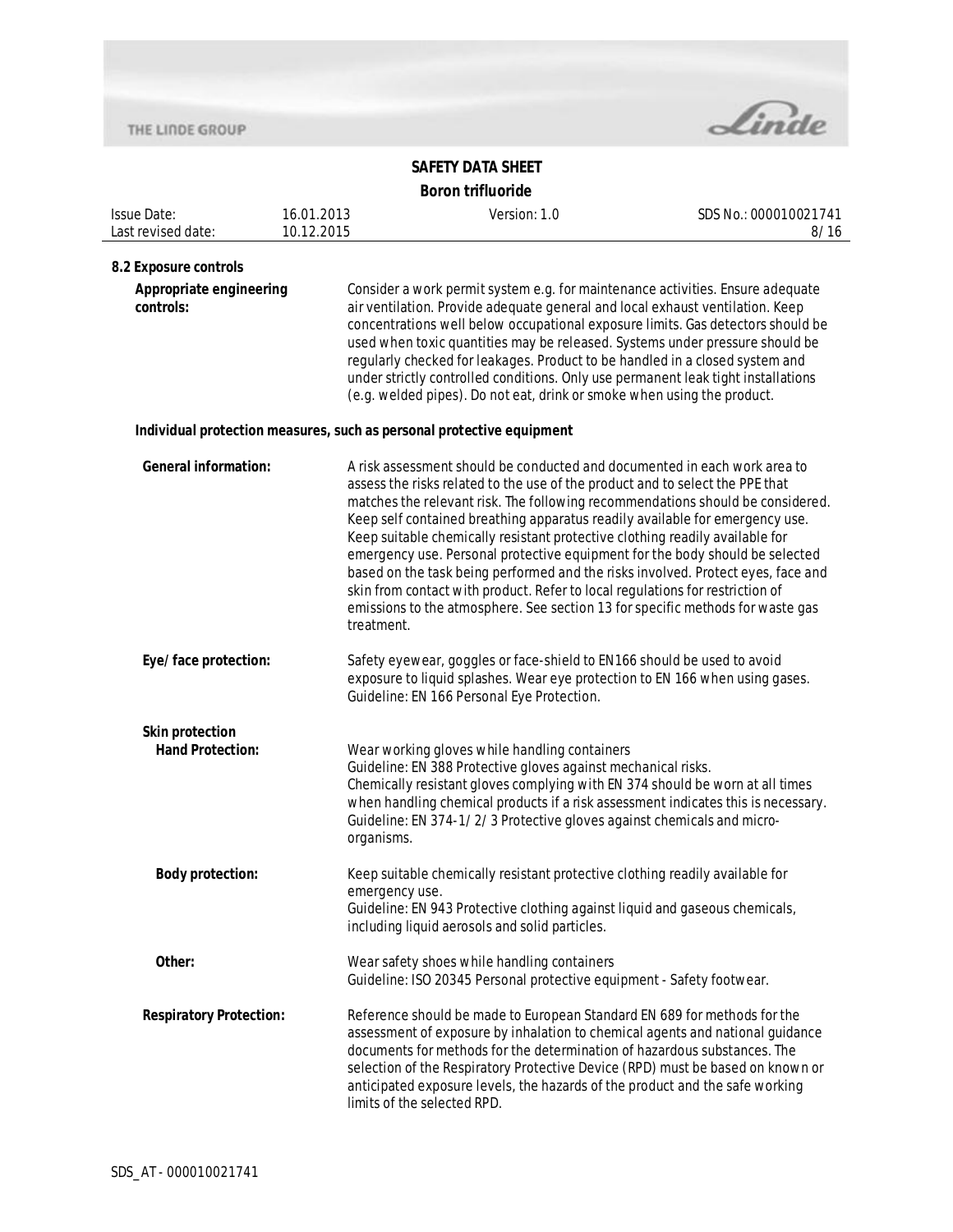

| <b>Issue Date:</b>                   | 16.01.2013     | Version: 1.0                                                                                                                                                                                                                                                                                                                                                                                                                                                                                                                                                                                                                                                                                                                                        | SDS No.: 000010021741 |  |
|--------------------------------------|----------------|-----------------------------------------------------------------------------------------------------------------------------------------------------------------------------------------------------------------------------------------------------------------------------------------------------------------------------------------------------------------------------------------------------------------------------------------------------------------------------------------------------------------------------------------------------------------------------------------------------------------------------------------------------------------------------------------------------------------------------------------------------|-----------------------|--|
| Last revised date:                   | 10.12.2015     |                                                                                                                                                                                                                                                                                                                                                                                                                                                                                                                                                                                                                                                                                                                                                     | 8/16                  |  |
| 8.2 Exposure controls                |                |                                                                                                                                                                                                                                                                                                                                                                                                                                                                                                                                                                                                                                                                                                                                                     |                       |  |
| Appropriate engineering<br>controls: |                | Consider a work permit system e.g. for maintenance activities. Ensure adequate<br>air ventilation. Provide adequate general and local exhaust ventilation. Keep<br>concentrations well below occupational exposure limits. Gas detectors should be<br>used when toxic quantities may be released. Systems under pressure should be<br>regularly checked for leakages. Product to be handled in a closed system and<br>under strictly controlled conditions. Only use permanent leak tight installations<br>(e.g. welded pipes). Do not eat, drink or smoke when using the product.                                                                                                                                                                  |                       |  |
|                                      |                | Individual protection measures, such as personal protective equipment                                                                                                                                                                                                                                                                                                                                                                                                                                                                                                                                                                                                                                                                               |                       |  |
| <b>General information:</b>          | treatment.     | A risk assessment should be conducted and documented in each work area to<br>assess the risks related to the use of the product and to select the PPE that<br>matches the relevant risk. The following recommendations should be considered.<br>Keep self contained breathing apparatus readily available for emergency use.<br>Keep suitable chemically resistant protective clothing readily available for<br>emergency use. Personal protective equipment for the body should be selected<br>based on the task being performed and the risks involved. Protect eyes, face and<br>skin from contact with product. Refer to local regulations for restriction of<br>emissions to the atmosphere. See section 13 for specific methods for waste gas |                       |  |
| Eye/face protection:                 |                | Safety eyewear, goggles or face-shield to EN166 should be used to avoid<br>exposure to liquid splashes. Wear eye protection to EN 166 when using gases.<br>Guideline: EN 166 Personal Eye Protection.                                                                                                                                                                                                                                                                                                                                                                                                                                                                                                                                               |                       |  |
| <b>Skin protection</b>               |                |                                                                                                                                                                                                                                                                                                                                                                                                                                                                                                                                                                                                                                                                                                                                                     |                       |  |
| <b>Hand Protection:</b>              | organisms.     | Wear working gloves while handling containers<br>Guideline: EN 388 Protective gloves against mechanical risks.<br>Chemically resistant gloves complying with EN 374 should be worn at all times<br>when handling chemical products if a risk assessment indicates this is necessary.<br>Guideline: EN 374-1/2/3 Protective gloves against chemicals and micro-                                                                                                                                                                                                                                                                                                                                                                                      |                       |  |
| <b>Body protection:</b>              | emergency use. | Keep suitable chemically resistant protective clothing readily available for<br>Guideline: EN 943 Protective clothing against liquid and gaseous chemicals,<br>including liquid aerosols and solid particles.                                                                                                                                                                                                                                                                                                                                                                                                                                                                                                                                       |                       |  |
| Other:                               |                | Wear safety shoes while handling containers<br>Guideline: ISO 20345 Personal protective equipment - Safety footwear.                                                                                                                                                                                                                                                                                                                                                                                                                                                                                                                                                                                                                                |                       |  |
| <b>Respiratory Protection:</b>       |                | Reference should be made to European Standard EN 689 for methods for the<br>assessment of exposure by inhalation to chemical agents and national guidance<br>documents for methods for the determination of hazardous substances. The<br>selection of the Respiratory Protective Device (RPD) must be based on known or<br>anticipated exposure levels, the hazards of the product and the safe working<br>limits of the selected RPD.                                                                                                                                                                                                                                                                                                              |                       |  |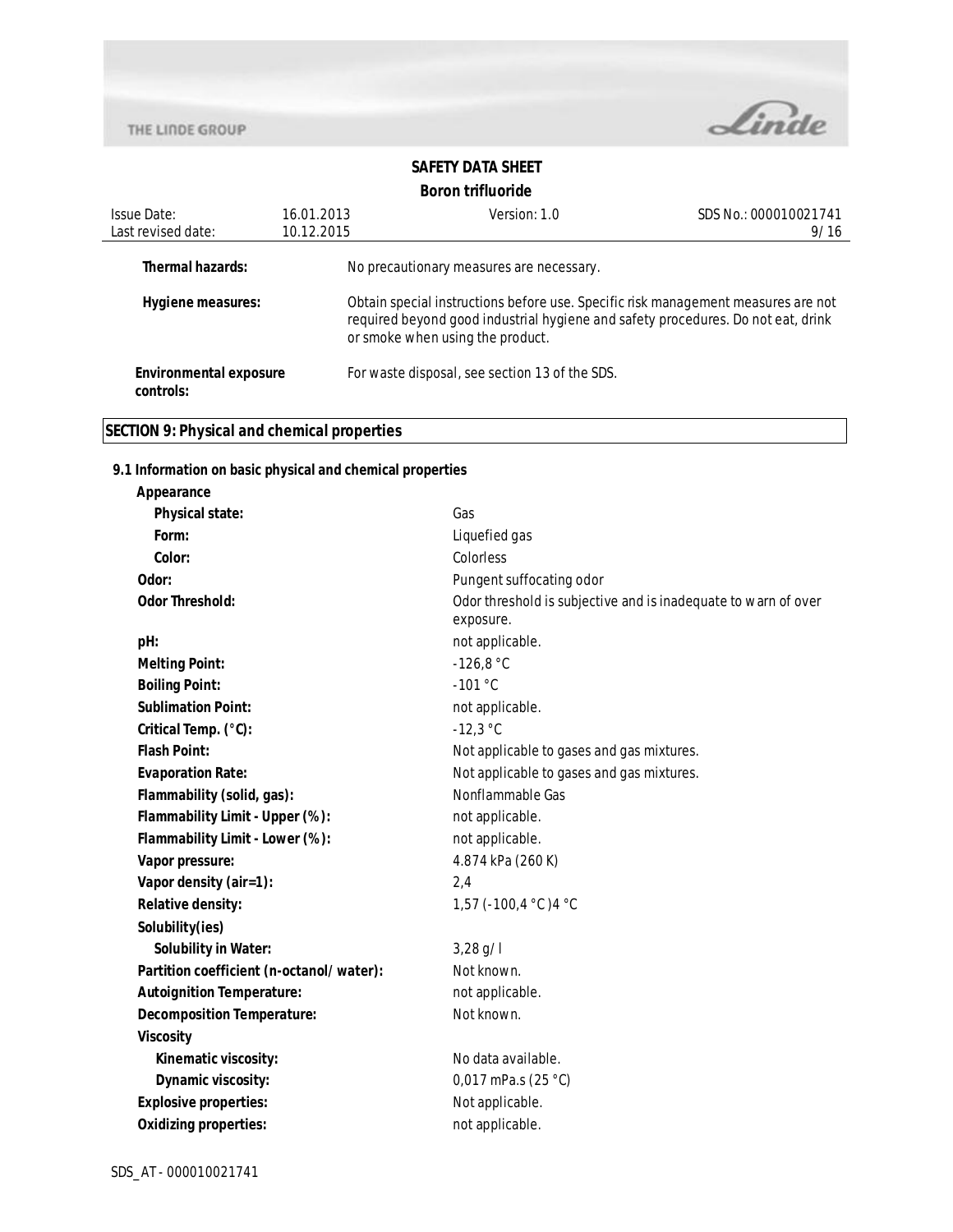

# **SAFETY DATA SHEET Boron trifluoride**

| Issue Date:<br>Last revised date:          | 16.01.2013<br>10.12.2015 | Version: 1.0                                                                                                                                                                                              | SDS No.: 000010021741<br>9/16 |
|--------------------------------------------|--------------------------|-----------------------------------------------------------------------------------------------------------------------------------------------------------------------------------------------------------|-------------------------------|
| Thermal hazards:                           |                          | No precautionary measures are necessary.                                                                                                                                                                  |                               |
| Hygiene measures:                          |                          | Obtain special instructions before use. Specific risk management measures are not<br>required beyond good industrial hygiene and safety procedures. Do not eat, drink<br>or smoke when using the product. |                               |
| <b>Environmental exposure</b><br>controls: |                          | For waste disposal, see section 13 of the SDS.                                                                                                                                                            |                               |

# **SECTION 9: Physical and chemical properties**

## **9.1 Information on basic physical and chemical properties**

| Appearance                               |                                                                             |
|------------------------------------------|-----------------------------------------------------------------------------|
| Physical state:                          | Gas                                                                         |
| Form:                                    | Liquefied gas                                                               |
| Color:                                   | Colorless                                                                   |
| Odor:                                    | Pungent suffocating odor                                                    |
| <b>Odor Threshold:</b>                   | Odor threshold is subjective and is inadequate to warn of over<br>exposure. |
| pH:                                      | not applicable.                                                             |
| <b>Melting Point:</b>                    | $-126.8 °C$                                                                 |
| <b>Boiling Point:</b>                    | $-101 °C$                                                                   |
| <b>Sublimation Point:</b>                | not applicable.                                                             |
| Critical Temp. (°C):                     | $-12,3 °C$                                                                  |
| <b>Flash Point:</b>                      | Not applicable to gases and gas mixtures.                                   |
| <b>Evaporation Rate:</b>                 | Not applicable to gases and gas mixtures.                                   |
| Flammability (solid, gas):               | Nonflammable Gas                                                            |
| Flammability Limit - Upper (%):          | not applicable.                                                             |
| Flammability Limit - Lower (%):          | not applicable.                                                             |
| Vapor pressure:                          | 4.874 kPa (260 K)                                                           |
| Vapor density (air=1):                   | 2,4                                                                         |
| Relative density:                        | 1,57 (-100,4 °C) 4 °C                                                       |
| Solubility(ies)                          |                                                                             |
| <b>Solubility in Water:</b>              | 3,28 g/l                                                                    |
| Partition coefficient (n-octanol/water): | Not known.                                                                  |
| <b>Autoignition Temperature:</b>         | not applicable.                                                             |
| <b>Decomposition Temperature:</b>        | Not known.                                                                  |
| <b>Viscosity</b>                         |                                                                             |
| Kinematic viscosity:                     | No data available.                                                          |
| Dynamic viscosity:                       | 0,017 mPa.s $(25 °C)$                                                       |
| <b>Explosive properties:</b>             | Not applicable.                                                             |
| <b>Oxidizing properties:</b>             | not applicable.                                                             |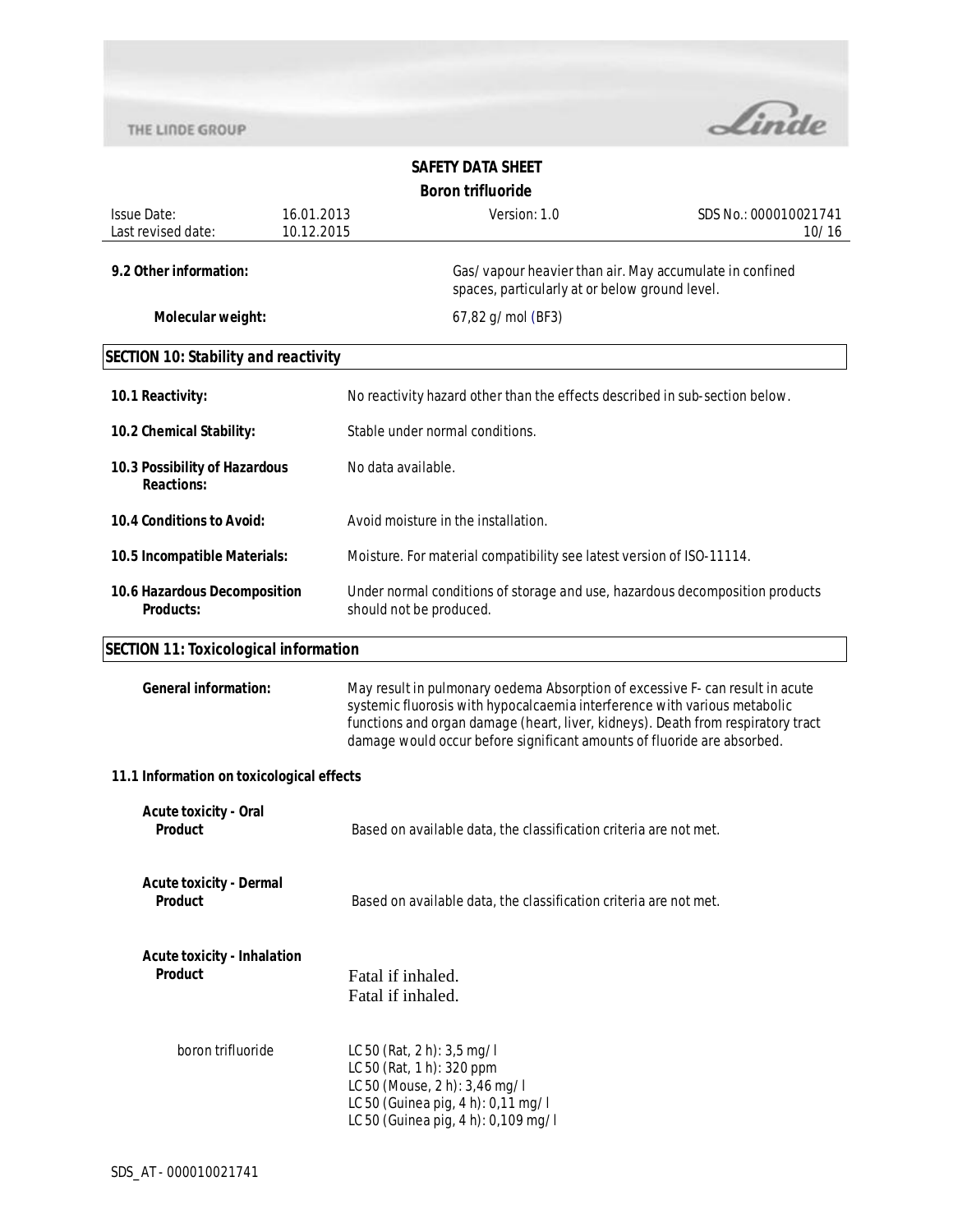

|                                                      |                          | <b>DUI UII LITTUUI IUE</b>                                                                                                                                                                                                                                                                                                |                                |  |
|------------------------------------------------------|--------------------------|---------------------------------------------------------------------------------------------------------------------------------------------------------------------------------------------------------------------------------------------------------------------------------------------------------------------------|--------------------------------|--|
| <b>Issue Date:</b><br>Last revised date:             | 16.01.2013<br>10.12.2015 | Version: 1.0                                                                                                                                                                                                                                                                                                              | SDS No.: 000010021741<br>10/16 |  |
| 9.2 Other information:                               |                          | Gas/vapour heavier than air. May accumulate in confined<br>spaces, particularly at or below ground level.                                                                                                                                                                                                                 |                                |  |
| Molecular weight:                                    |                          | 67,82 g/mol (BF3)                                                                                                                                                                                                                                                                                                         |                                |  |
| <b>SECTION 10: Stability and reactivity</b>          |                          |                                                                                                                                                                                                                                                                                                                           |                                |  |
| 10.1 Reactivity:                                     |                          | No reactivity hazard other than the effects described in sub-section below.                                                                                                                                                                                                                                               |                                |  |
| 10.2 Chemical Stability:                             |                          | Stable under normal conditions.                                                                                                                                                                                                                                                                                           |                                |  |
| 10.3 Possibility of Hazardous<br><b>Reactions:</b>   |                          | No data available.                                                                                                                                                                                                                                                                                                        |                                |  |
| 10.4 Conditions to Avoid:                            |                          | Avoid moisture in the installation.                                                                                                                                                                                                                                                                                       |                                |  |
| 10.5 Incompatible Materials:                         |                          | Moisture. For material compatibility see latest version of ISO-11114.                                                                                                                                                                                                                                                     |                                |  |
| 10.6 Hazardous Decomposition<br><b>Products:</b>     |                          | Under normal conditions of storage and use, hazardous decomposition products<br>should not be produced.                                                                                                                                                                                                                   |                                |  |
| <b>SECTION 11: Toxicological information</b>         |                          |                                                                                                                                                                                                                                                                                                                           |                                |  |
| <b>General information:</b>                          |                          | May result in pulmonary oedema Absorption of excessive F- can result in acute<br>systemic fluorosis with hypocalcaemia interference with various metabolic<br>functions and organ damage (heart, liver, kidneys). Death from respiratory tract<br>damage would occur before significant amounts of fluoride are absorbed. |                                |  |
| 11.1 Information on toxicological effects            |                          |                                                                                                                                                                                                                                                                                                                           |                                |  |
| <b>Acute toxicity - Oral</b><br>Product              |                          | Based on available data, the classification criteria are not met.                                                                                                                                                                                                                                                         |                                |  |
| <b>Acute toxicity - Dermal</b><br>Product            |                          | Based on available data, the classification criteria are not met.                                                                                                                                                                                                                                                         |                                |  |
| <b>Acute toxicity - Inhalation</b><br><b>Product</b> |                          | Fatal if inhaled.<br>Fatal if inhaled.                                                                                                                                                                                                                                                                                    |                                |  |
| boron trifluoride                                    |                          | LC 50 (Rat, 2 h): 3,5 mg/l<br>LC 50 (Rat, 1 h): 320 ppm<br>LC 50 (Mouse, 2 h): 3,46 mg/l<br>LC 50 (Guinea pig, 4 h): 0,11 mg/l<br>LC 50 (Guinea pig, 4 h): 0,109 mg/l                                                                                                                                                     |                                |  |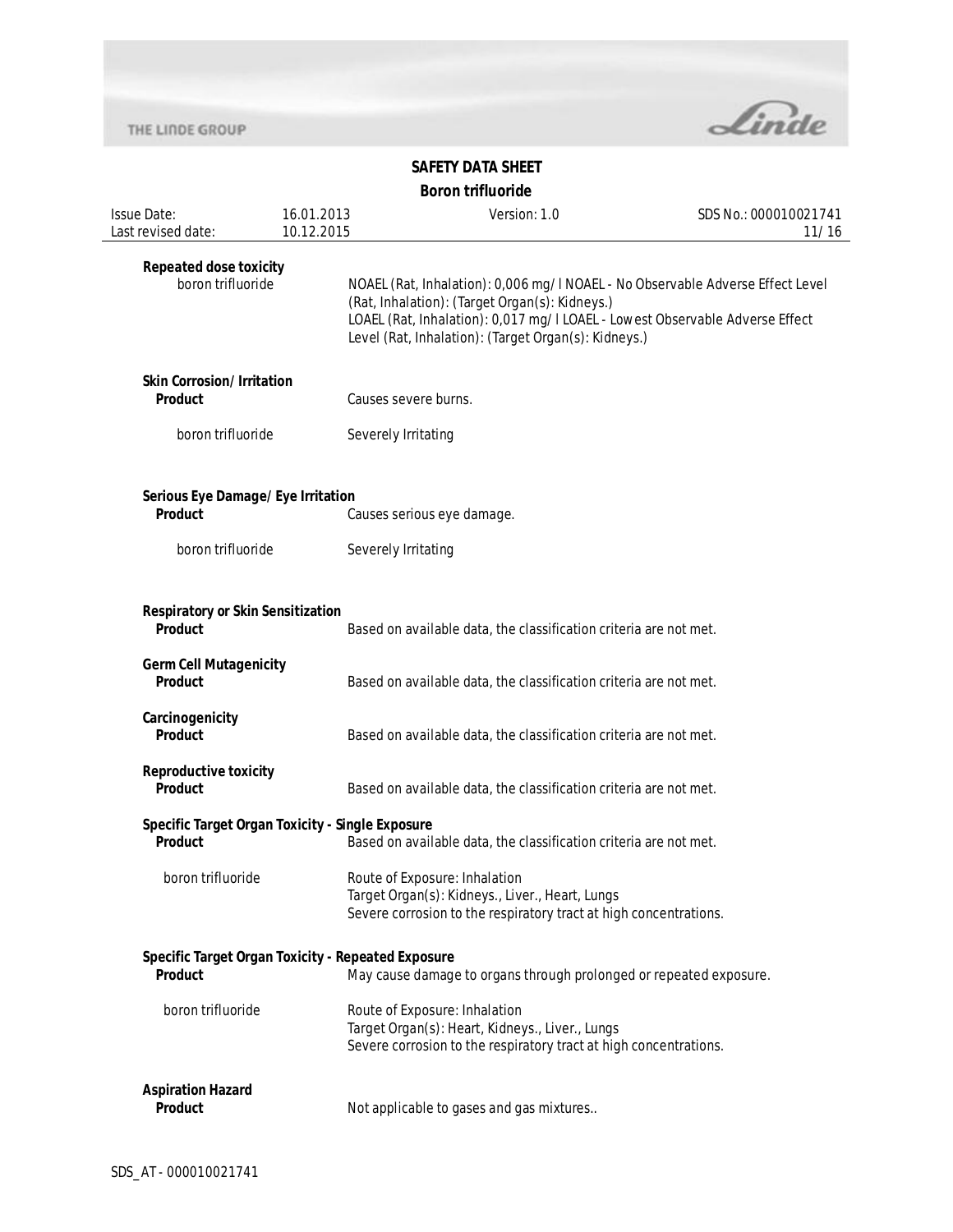

| Issue Date:                                                          | 16.01.2013<br>10.12.2015                                                                                                                              | Version: 1.0                                                                                                                                                                                                                                                             | SDS No.: 000010021741<br>11/16 |
|----------------------------------------------------------------------|-------------------------------------------------------------------------------------------------------------------------------------------------------|--------------------------------------------------------------------------------------------------------------------------------------------------------------------------------------------------------------------------------------------------------------------------|--------------------------------|
| Last revised date:                                                   |                                                                                                                                                       |                                                                                                                                                                                                                                                                          |                                |
| <b>Repeated dose toxicity</b><br>boron trifluoride                   |                                                                                                                                                       | NOAEL (Rat, Inhalation): 0,006 mg/l NOAEL - No Observable Adverse Effect Level<br>(Rat, Inhalation): (Target Organ(s): Kidneys.)<br>LOAEL (Rat, Inhalation): 0,017 mg/I LOAEL - Lowest Observable Adverse Effect<br>Level (Rat, Inhalation): (Target Organ(s): Kidneys.) |                                |
| <b>Skin Corrosion/Irritation</b><br><b>Product</b>                   | Causes severe burns.                                                                                                                                  |                                                                                                                                                                                                                                                                          |                                |
| boron trifluoride                                                    | Severely Irritating                                                                                                                                   |                                                                                                                                                                                                                                                                          |                                |
| Serious Eye Damage/Eye Irritation<br><b>Product</b>                  |                                                                                                                                                       | Causes serious eye damage.                                                                                                                                                                                                                                               |                                |
| boron trifluoride                                                    | Severely Irritating                                                                                                                                   |                                                                                                                                                                                                                                                                          |                                |
| <b>Respiratory or Skin Sensitization</b><br><b>Product</b>           |                                                                                                                                                       | Based on available data, the classification criteria are not met.                                                                                                                                                                                                        |                                |
| <b>Germ Cell Mutagenicity</b><br>Product                             |                                                                                                                                                       | Based on available data, the classification criteria are not met.                                                                                                                                                                                                        |                                |
| Carcinogenicity<br>Product                                           |                                                                                                                                                       | Based on available data, the classification criteria are not met.                                                                                                                                                                                                        |                                |
| <b>Reproductive toxicity</b><br>Product                              |                                                                                                                                                       | Based on available data, the classification criteria are not met.                                                                                                                                                                                                        |                                |
| Specific Target Organ Toxicity - Single Exposure<br><b>Product</b>   |                                                                                                                                                       | Based on available data, the classification criteria are not met.                                                                                                                                                                                                        |                                |
| boron trifluoride                                                    |                                                                                                                                                       | Route of Exposure: Inhalation<br>Target Organ(s): Kidneys., Liver., Heart, Lungs<br>Severe corrosion to the respiratory tract at high concentrations.                                                                                                                    |                                |
| Specific Target Organ Toxicity - Repeated Exposure<br><b>Product</b> |                                                                                                                                                       | May cause damage to organs through prolonged or repeated exposure.                                                                                                                                                                                                       |                                |
| boron trifluoride                                                    | Route of Exposure: Inhalation<br>Target Organ(s): Heart, Kidneys., Liver., Lungs<br>Severe corrosion to the respiratory tract at high concentrations. |                                                                                                                                                                                                                                                                          |                                |
| <b>Aspiration Hazard</b><br>Product                                  |                                                                                                                                                       | Not applicable to gases and gas mixtures                                                                                                                                                                                                                                 |                                |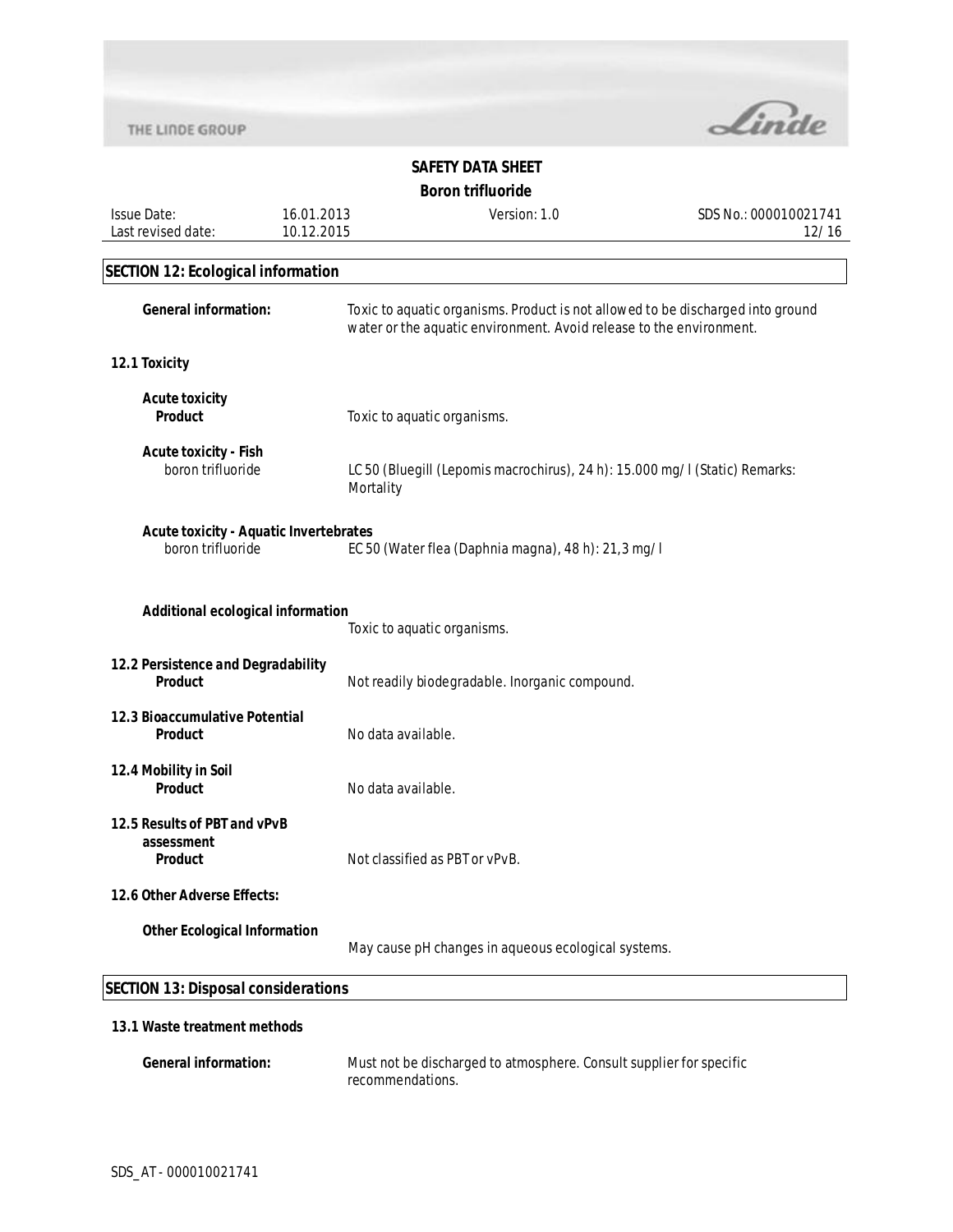

|                                                                    |                    | Boron trinuorige                                                                                                                                       |                       |  |
|--------------------------------------------------------------------|--------------------|--------------------------------------------------------------------------------------------------------------------------------------------------------|-----------------------|--|
| <b>Issue Date:</b>                                                 | 16.01.2013         | Version: 1.0                                                                                                                                           | SDS No.: 000010021741 |  |
| Last revised date:                                                 | 10.12.2015         |                                                                                                                                                        | 12/16                 |  |
|                                                                    |                    |                                                                                                                                                        |                       |  |
| <b>SECTION 12: Ecological information</b>                          |                    |                                                                                                                                                        |                       |  |
| <b>General information:</b>                                        |                    | Toxic to aquatic organisms. Product is not allowed to be discharged into ground<br>water or the aquatic environment. Avoid release to the environment. |                       |  |
| 12.1 Toxicity                                                      |                    |                                                                                                                                                        |                       |  |
| <b>Acute toxicity</b><br><b>Product</b>                            |                    | Toxic to aquatic organisms.                                                                                                                            |                       |  |
| <b>Acute toxicity - Fish</b><br>boron trifluoride                  | Mortality          | LC 50 (Bluegill (Lepomis macrochirus), 24 h): 15.000 mg/l (Static) Remarks:                                                                            |                       |  |
| <b>Acute toxicity - Aquatic Invertebrates</b><br>boron trifluoride |                    | EC 50 (Water flea (Daphnia magna), 48 h): 21,3 mg/l                                                                                                    |                       |  |
| Additional ecological information                                  |                    | Toxic to aquatic organisms.                                                                                                                            |                       |  |
| 12.2 Persistence and Degradability<br><b>Product</b>               |                    | Not readily biodegradable. Inorganic compound.                                                                                                         |                       |  |
| 12.3 Bioaccumulative Potential<br>Product                          | No data available. |                                                                                                                                                        |                       |  |
| 12.4 Mobility in Soil<br><b>Product</b>                            | No data available. |                                                                                                                                                        |                       |  |
| 12.5 Results of PBT and vPvB<br>assessment<br>Product              |                    | Not classified as PBT or vPvB.                                                                                                                         |                       |  |
| 12.6 Other Adverse Effects:                                        |                    |                                                                                                                                                        |                       |  |
| <b>Other Ecological Information</b>                                |                    | May cause pH changes in aqueous ecological systems.                                                                                                    |                       |  |
| <b>SECTION 13: Disposal considerations</b>                         |                    |                                                                                                                                                        |                       |  |
| 13.1 Waste treatment methods                                       |                    |                                                                                                                                                        |                       |  |
| <b>General information:</b>                                        |                    | Must not be discharged to atmosphere. Consult supplier for specific                                                                                    |                       |  |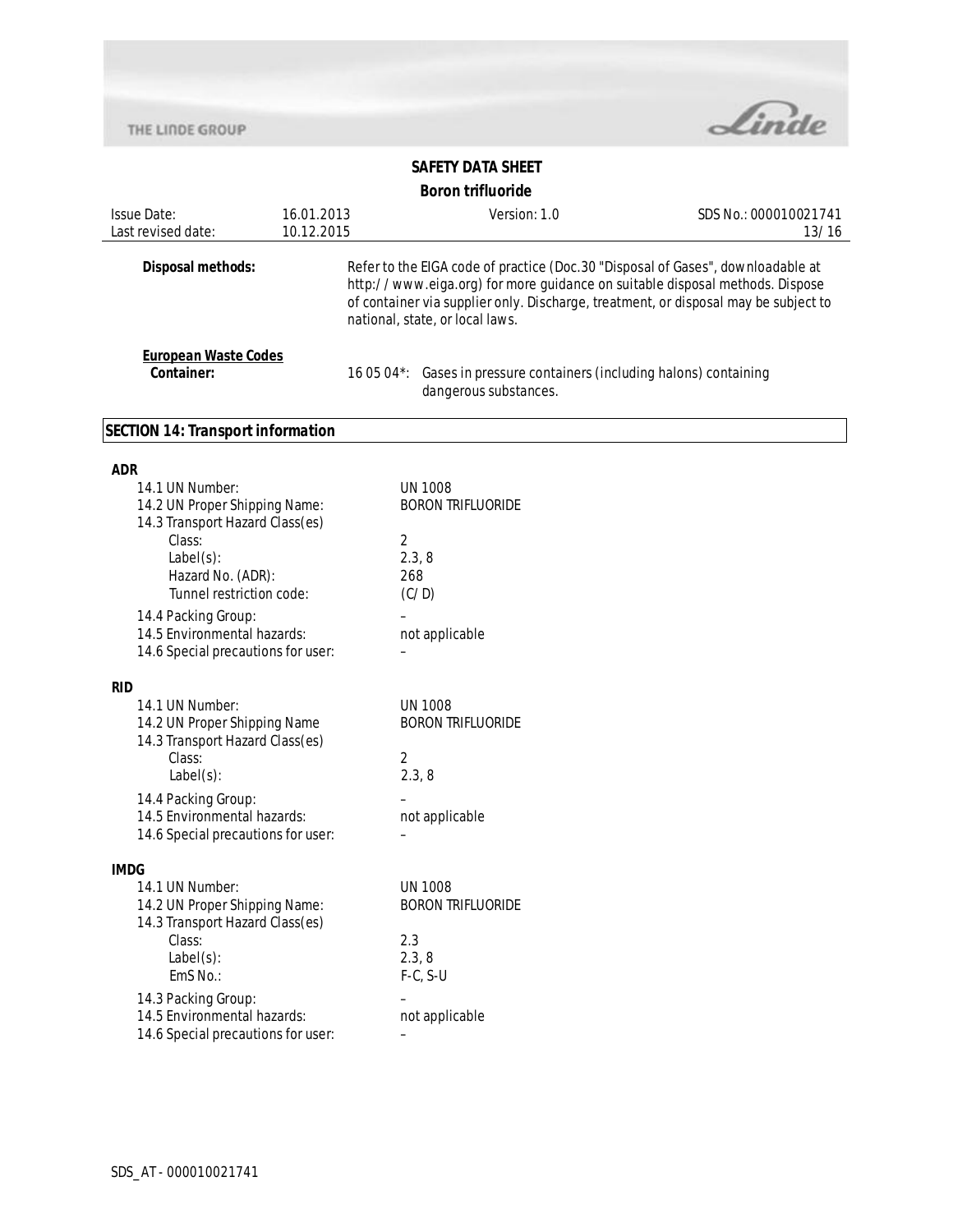

# **SAFETY DATA SHEET**

# **Boron trifluoride**

|                                                                                                                                                                |            | <b>DUI UII UIIIUUIIUC</b>                                                                                                                                                                                                                                                                  |                       |
|----------------------------------------------------------------------------------------------------------------------------------------------------------------|------------|--------------------------------------------------------------------------------------------------------------------------------------------------------------------------------------------------------------------------------------------------------------------------------------------|-----------------------|
| <b>Issue Date:</b>                                                                                                                                             | 16.01.2013 | Version: 1.0                                                                                                                                                                                                                                                                               | SDS No.: 000010021741 |
| Last revised date:                                                                                                                                             | 10.12.2015 |                                                                                                                                                                                                                                                                                            | 13/16                 |
| Disposal methods:                                                                                                                                              |            | Refer to the EIGA code of practice (Doc. 30 "Disposal of Gases", downloadable at<br>http://www.eiga.org) for more guidance on suitable disposal methods. Dispose<br>of container via supplier only. Discharge, treatment, or disposal may be subject to<br>national, state, or local laws. |                       |
| <b>European Waste Codes</b><br>Container:                                                                                                                      |            | 16 05 04*: Gases in pressure containers (including halons) containing<br>dangerous substances.                                                                                                                                                                                             |                       |
| <b>SECTION 14: Transport information</b>                                                                                                                       |            |                                                                                                                                                                                                                                                                                            |                       |
| <b>ADR</b>                                                                                                                                                     |            |                                                                                                                                                                                                                                                                                            |                       |
| 14.1 UN Number:<br>14.2 UN Proper Shipping Name:<br>14.3 Transport Hazard Class(es)<br>Class:<br>$Label(s)$ :<br>Hazard No. (ADR):<br>Tunnel restriction code: |            | <b>UN 1008</b><br><b>BORON TRIFLUORIDE</b><br>$\overline{2}$<br>2.3, 8<br>268<br>(C/D)                                                                                                                                                                                                     |                       |
| 14.4 Packing Group:<br>14.5 Environmental hazards:<br>14.6 Special precautions for user:                                                                       |            | not applicable                                                                                                                                                                                                                                                                             |                       |
| <b>RID</b>                                                                                                                                                     |            |                                                                                                                                                                                                                                                                                            |                       |
| 14.1 UN Number:<br>14.2 UN Proper Shipping Name<br>14.3 Transport Hazard Class(es)<br>Class:<br>$Label(s)$ :                                                   |            | <b>UN 1008</b><br><b>BORON TRIFLUORIDE</b><br>2<br>2.3, 8                                                                                                                                                                                                                                  |                       |
| 14.4 Packing Group:<br>14.5 Environmental hazards:<br>14.6 Special precautions for user:                                                                       |            | not applicable                                                                                                                                                                                                                                                                             |                       |
| <b>IMDG</b>                                                                                                                                                    |            |                                                                                                                                                                                                                                                                                            |                       |
| 14.1 UN Number:<br>14.2 UN Proper Shipping Name:<br>14.3 Transport Hazard Class(es)<br>Class:<br>$Label(s)$ :<br>EmS No.:                                      |            | <b>UN 1008</b><br><b>BORON TRIFLUORIDE</b><br>2.3<br>2.3, 8<br>$F-C, S-U$                                                                                                                                                                                                                  |                       |
| 14.3 Packing Group:<br>14.5 Environmental hazards:<br>14.6 Special precautions for user:                                                                       |            | not applicable                                                                                                                                                                                                                                                                             |                       |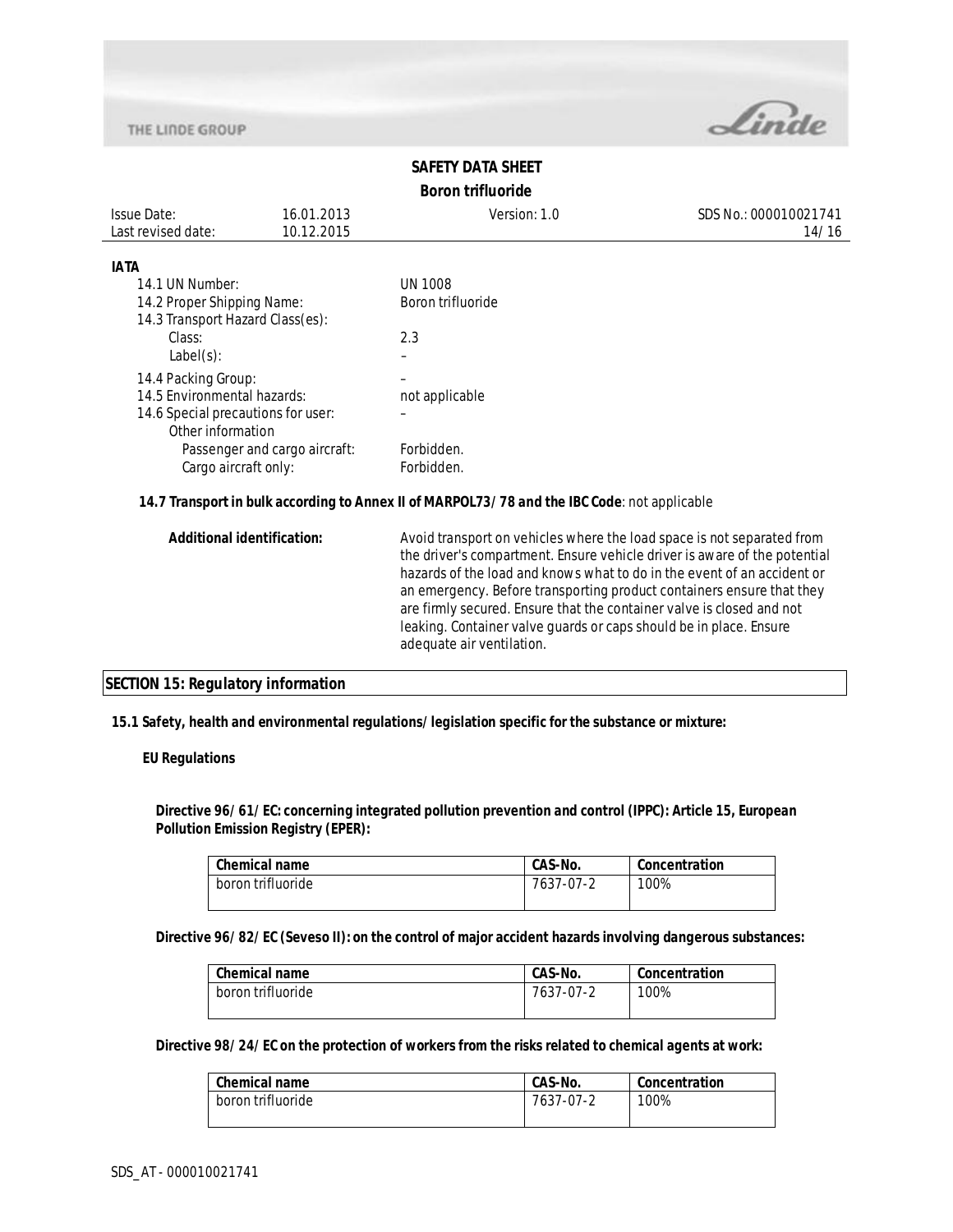

# **SAFETY DATA SHEET Boron trifluoride**

| Issue Date:        | 16.01.2013 | Version: 1.0 | SDS No.: 000010021741 |
|--------------------|------------|--------------|-----------------------|
| Last revised date: | 10.12.2015 |              | 14/16                 |
|                    |            |              |                       |

#### **IATA**

| 14.1 UN Number:                    | UN 1008           |
|------------------------------------|-------------------|
| 14.2 Proper Shipping Name:         | Boron trifluoride |
| 14.3 Transport Hazard Class(es):   |                   |
| Class:                             | 2.3               |
| $Label(s)$ :                       |                   |
| 14.4 Packing Group:                |                   |
| 14.5 Environmental hazards:        | not applicable    |
| 14.6 Special precautions for user: |                   |
| Other information                  |                   |
| Passenger and cargo aircraft:      | Forbidden.        |
| Cargo aircraft only:               | Forbidden.        |

## **14.7 Transport in bulk according to Annex II of MARPOL73/78 and the IBC Code**: not applicable

## **SECTION 15: Regulatory information**

#### **15.1 Safety, health and environmental regulations/legislation specific for the substance or mixture:**

#### **EU Regulations**

**Directive 96/61/EC: concerning integrated pollution prevention and control (IPPC): Article 15, European Pollution Emission Registry (EPER):** 

| CAS-No.<br>Concentration |
|--------------------------|
| 100%<br>7637-07-2        |
|                          |

**Directive 96/82/EC (Seveso II): on the control of major accident hazards involving dangerous substances:** 

| <b>Chemical name</b> | CAS-No.   | Concentration |
|----------------------|-----------|---------------|
| boron trifluoride    | 7637-07-2 | 100%          |

#### **Directive 98/24/EC on the protection of workers from the risks related to chemical agents at work:**

| l Chemical name   | CAS-No.   | Concentration |
|-------------------|-----------|---------------|
| boron trifluoride | 7637-07-2 | 100%          |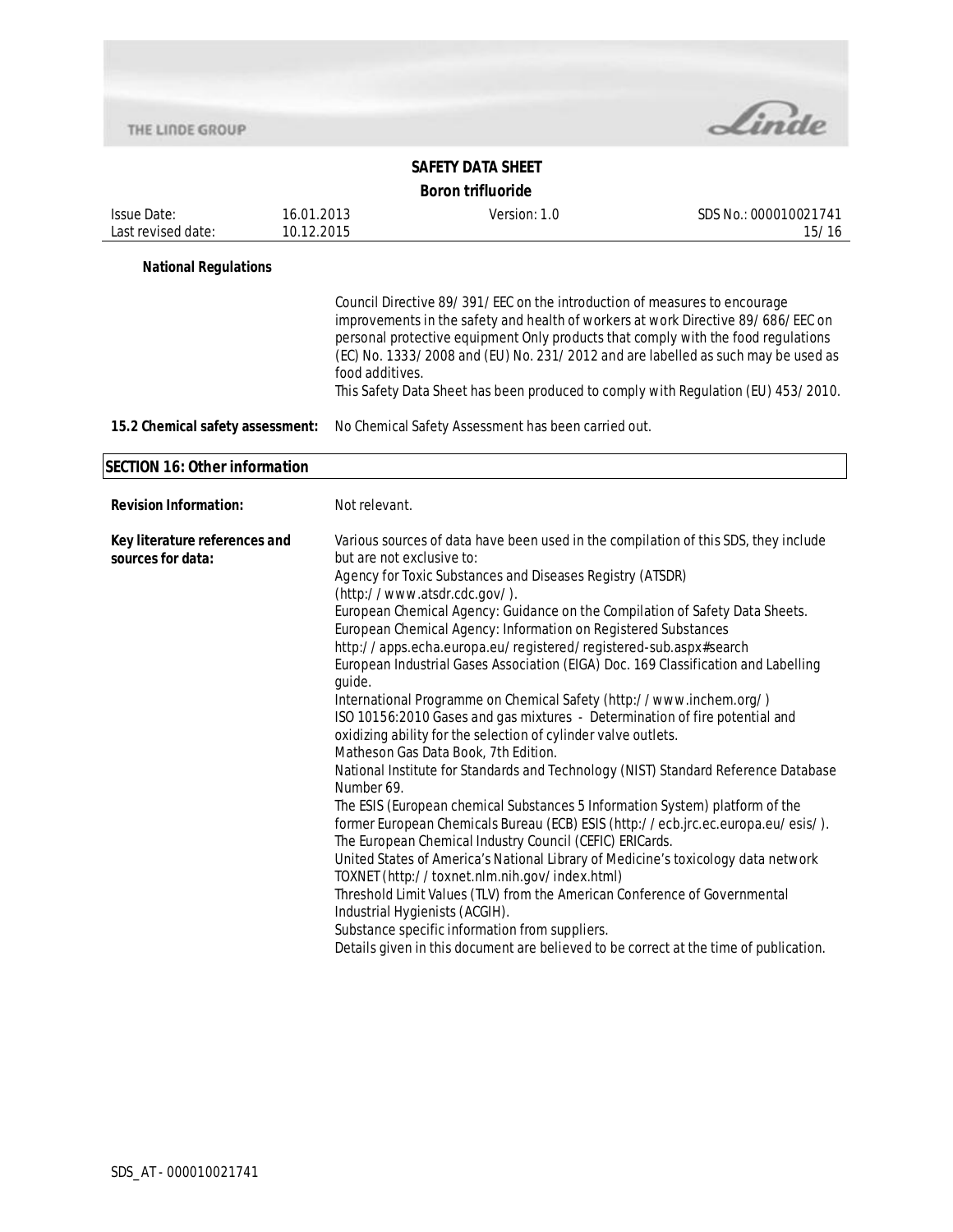

| <b>Issue Date:</b><br>Last revised date:           | 16.01.2013<br>10.12.2015 |                                                     | Version: 1.0                                                                                                                                                                                                                                                                                                                                                                                                                                                                                                                                                                                                                                                                                                                                                                                                                                                                                                                                                                                                                                                                                                                                                                                                                                                                                                                                                                                                                                                                       | SDS No.: 000010021741<br>15/16 |  |  |
|----------------------------------------------------|--------------------------|-----------------------------------------------------|------------------------------------------------------------------------------------------------------------------------------------------------------------------------------------------------------------------------------------------------------------------------------------------------------------------------------------------------------------------------------------------------------------------------------------------------------------------------------------------------------------------------------------------------------------------------------------------------------------------------------------------------------------------------------------------------------------------------------------------------------------------------------------------------------------------------------------------------------------------------------------------------------------------------------------------------------------------------------------------------------------------------------------------------------------------------------------------------------------------------------------------------------------------------------------------------------------------------------------------------------------------------------------------------------------------------------------------------------------------------------------------------------------------------------------------------------------------------------------|--------------------------------|--|--|
| <b>National Regulations</b>                        |                          |                                                     |                                                                                                                                                                                                                                                                                                                                                                                                                                                                                                                                                                                                                                                                                                                                                                                                                                                                                                                                                                                                                                                                                                                                                                                                                                                                                                                                                                                                                                                                                    |                                |  |  |
|                                                    |                          | food additives.                                     | Council Directive 89/391/EEC on the introduction of measures to encourage<br>improvements in the safety and health of workers at work Directive 89/686/EEC on<br>personal protective equipment Only products that comply with the food regulations<br>(EC) No. 1333/2008 and (EU) No. 231/2012 and are labelled as such may be used as<br>This Safety Data Sheet has been produced to comply with Regulation (EU) 453/2010.                                                                                                                                                                                                                                                                                                                                                                                                                                                                                                                                                                                                                                                                                                                                                                                                                                                                                                                                                                                                                                                        |                                |  |  |
| 15.2 Chemical safety assessment:                   |                          | No Chemical Safety Assessment has been carried out. |                                                                                                                                                                                                                                                                                                                                                                                                                                                                                                                                                                                                                                                                                                                                                                                                                                                                                                                                                                                                                                                                                                                                                                                                                                                                                                                                                                                                                                                                                    |                                |  |  |
| <b>SECTION 16: Other information</b>               |                          |                                                     |                                                                                                                                                                                                                                                                                                                                                                                                                                                                                                                                                                                                                                                                                                                                                                                                                                                                                                                                                                                                                                                                                                                                                                                                                                                                                                                                                                                                                                                                                    |                                |  |  |
| <b>Revision Information:</b>                       |                          | Not relevant.                                       |                                                                                                                                                                                                                                                                                                                                                                                                                                                                                                                                                                                                                                                                                                                                                                                                                                                                                                                                                                                                                                                                                                                                                                                                                                                                                                                                                                                                                                                                                    |                                |  |  |
| Key literature references and<br>sources for data: |                          | but are not exclusive to:<br>guide.<br>Number 69.   | Various sources of data have been used in the compilation of this SDS, they include<br>Agency for Toxic Substances and Diseases Registry (ATSDR)<br>(http://www.atsdr.cdc.gov/).<br>European Chemical Agency: Guidance on the Compilation of Safety Data Sheets.<br>European Chemical Agency: Information on Registered Substances<br>http://apps.echa.europa.eu/registered/registered-sub.aspx#search<br>European Industrial Gases Association (EIGA) Doc. 169 Classification and Labelling<br>International Programme on Chemical Safety (http://www.inchem.org/)<br>ISO 10156:2010 Gases and gas mixtures - Determination of fire potential and<br>oxidizing ability for the selection of cylinder valve outlets.<br>Matheson Gas Data Book, 7th Edition.<br>National Institute for Standards and Technology (NIST) Standard Reference Database<br>The ESIS (European chemical Substances 5 Information System) platform of the<br>former European Chemicals Bureau (ECB) ESIS (http://ecb.jrc.ec.europa.eu/esis/).<br>The European Chemical Industry Council (CEFIC) ERICards.<br>United States of America's National Library of Medicine's toxicology data network<br>TOXNET (http://toxnet.nlm.nih.gov/index.html)<br>Threshold Limit Values (TLV) from the American Conference of Governmental<br>Industrial Hygienists (ACGIH).<br>Substance specific information from suppliers.<br>Details given in this document are believed to be correct at the time of publication. |                                |  |  |